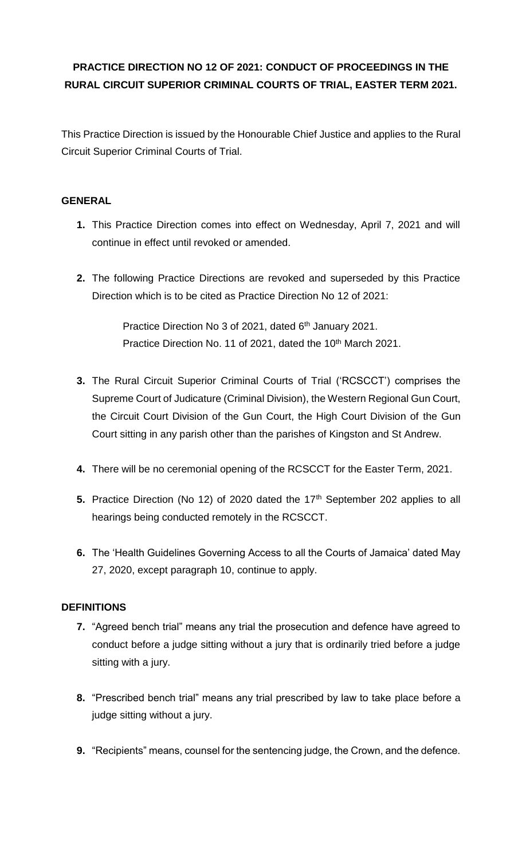# **PRACTICE DIRECTION NO 12 OF 2021: CONDUCT OF PROCEEDINGS IN THE RURAL CIRCUIT SUPERIOR CRIMINAL COURTS OF TRIAL, EASTER TERM 2021.**

This Practice Direction is issued by the Honourable Chief Justice and applies to the Rural Circuit Superior Criminal Courts of Trial.

### **GENERAL**

- **1.** This Practice Direction comes into effect on Wednesday, April 7, 2021 and will continue in effect until revoked or amended.
- **2.** The following Practice Directions are revoked and superseded by this Practice Direction which is to be cited as Practice Direction No 12 of 2021:

Practice Direction No 3 of 2021, dated 6<sup>th</sup> January 2021. Practice Direction No. 11 of 2021, dated the 10<sup>th</sup> March 2021.

- **3.** The Rural Circuit Superior Criminal Courts of Trial ('RCSCCT') comprises the Supreme Court of Judicature (Criminal Division), the Western Regional Gun Court, the Circuit Court Division of the Gun Court, the High Court Division of the Gun Court sitting in any parish other than the parishes of Kingston and St Andrew.
- **4.** There will be no ceremonial opening of the RCSCCT for the Easter Term, 2021.
- **5.** Practice Direction (No 12) of 2020 dated the 17<sup>th</sup> September 202 applies to all hearings being conducted remotely in the RCSCCT.
- **6.** The 'Health Guidelines Governing Access to all the Courts of Jamaica' dated May 27, 2020, except paragraph 10, continue to apply.

### **DEFINITIONS**

- **7.** "Agreed bench trial" means any trial the prosecution and defence have agreed to conduct before a judge sitting without a jury that is ordinarily tried before a judge sitting with a jury.
- **8.** "Prescribed bench trial" means any trial prescribed by law to take place before a judge sitting without a jury.
- **9.** "Recipients" means, counsel for the sentencing judge, the Crown, and the defence.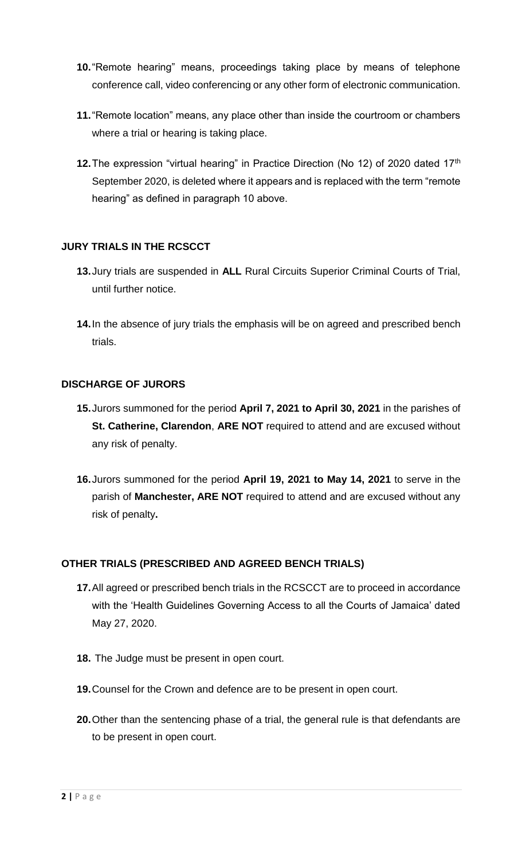- **10.**"Remote hearing" means, proceedings taking place by means of telephone conference call, video conferencing or any other form of electronic communication.
- **11.**"Remote location" means, any place other than inside the courtroom or chambers where a trial or hearing is taking place.
- **12.** The expression "virtual hearing" in Practice Direction (No 12) of 2020 dated 17<sup>th</sup> September 2020, is deleted where it appears and is replaced with the term "remote hearing" as defined in paragraph 10 above.

## **JURY TRIALS IN THE RCSCCT**

- **13.**Jury trials are suspended in **ALL** Rural Circuits Superior Criminal Courts of Trial, until further notice.
- **14.**In the absence of jury trials the emphasis will be on agreed and prescribed bench trials.

### **DISCHARGE OF JURORS**

- **15.**Jurors summoned for the period **April 7, 2021 to April 30, 2021** in the parishes of **St. Catherine, Clarendon**, **ARE NOT** required to attend and are excused without any risk of penalty.
- **16.**Jurors summoned for the period **April 19, 2021 to May 14, 2021** to serve in the parish of **Manchester, ARE NOT** required to attend and are excused without any risk of penalty**.**

### **OTHER TRIALS (PRESCRIBED AND AGREED BENCH TRIALS)**

- **17.**All agreed or prescribed bench trials in the RCSCCT are to proceed in accordance with the 'Health Guidelines Governing Access to all the Courts of Jamaica' dated May 27, 2020.
- **18.** The Judge must be present in open court.
- **19.**Counsel for the Crown and defence are to be present in open court.
- **20.**Other than the sentencing phase of a trial, the general rule is that defendants are to be present in open court.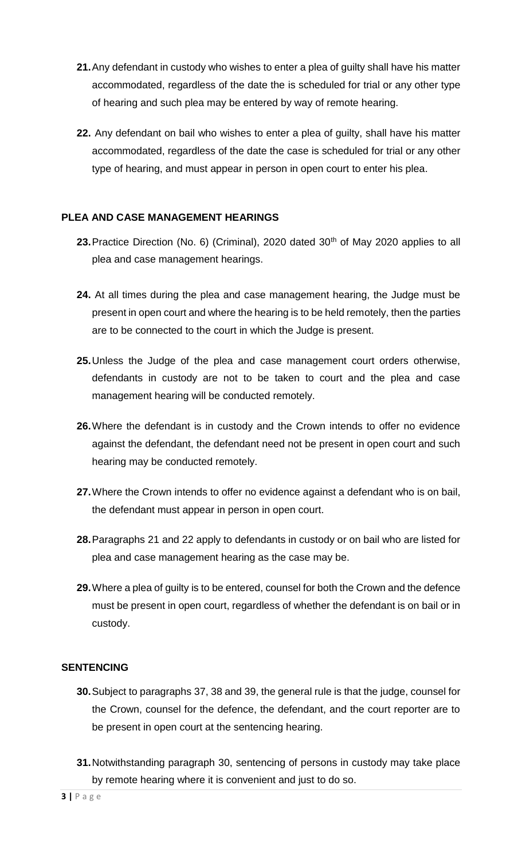- **21.**Any defendant in custody who wishes to enter a plea of guilty shall have his matter accommodated, regardless of the date the is scheduled for trial or any other type of hearing and such plea may be entered by way of remote hearing.
- **22.** Any defendant on bail who wishes to enter a plea of guilty, shall have his matter accommodated, regardless of the date the case is scheduled for trial or any other type of hearing, and must appear in person in open court to enter his plea.

### **PLEA AND CASE MANAGEMENT HEARINGS**

- 23. Practice Direction (No. 6) (Criminal), 2020 dated 30<sup>th</sup> of May 2020 applies to all plea and case management hearings.
- **24.** At all times during the plea and case management hearing, the Judge must be present in open court and where the hearing is to be held remotely, then the parties are to be connected to the court in which the Judge is present.
- **25.**Unless the Judge of the plea and case management court orders otherwise, defendants in custody are not to be taken to court and the plea and case management hearing will be conducted remotely.
- **26.**Where the defendant is in custody and the Crown intends to offer no evidence against the defendant, the defendant need not be present in open court and such hearing may be conducted remotely.
- **27.**Where the Crown intends to offer no evidence against a defendant who is on bail, the defendant must appear in person in open court.
- **28.**Paragraphs 21 and 22 apply to defendants in custody or on bail who are listed for plea and case management hearing as the case may be.
- **29.**Where a plea of guilty is to be entered, counsel for both the Crown and the defence must be present in open court, regardless of whether the defendant is on bail or in custody.

#### **SENTENCING**

- **30.**Subject to paragraphs 37, 38 and 39, the general rule is that the judge, counsel for the Crown, counsel for the defence, the defendant, and the court reporter are to be present in open court at the sentencing hearing.
- **31.**Notwithstanding paragraph 30, sentencing of persons in custody may take place by remote hearing where it is convenient and just to do so.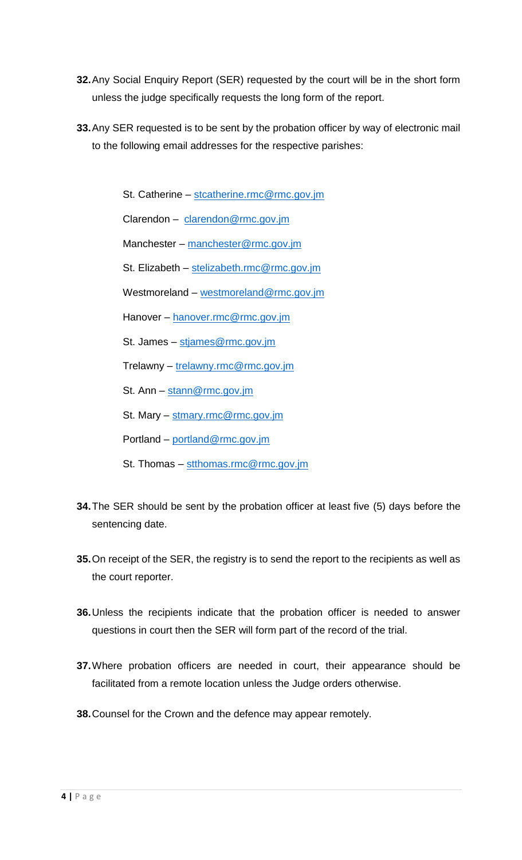- **32.**Any Social Enquiry Report (SER) requested by the court will be in the short form unless the judge specifically requests the long form of the report.
- **33.**Any SER requested is to be sent by the probation officer by way of electronic mail to the following email addresses for the respective parishes:

St. Catherine – stcatherine.rmc@rmc.gov.jm

Clarendon – clarendon@rmc.gov.jm

Manchester – manchester@rmc.gov.jm

St. Elizabeth – stelizabeth.rmc@rmc.gov.jm

Westmoreland – westmoreland@rmc.gov.jm

Hanover – hanover.rmc@rmc.gov.jm

St. James – stjames@rmc.gov.jm

Trelawny – trelawny.rmc@rmc.gov.jm

St. Ann - stann@rmc.gov.jm

St. Mary - stmary.rmc@rmc.gov.jm

Portland – portland@rmc.gov.jm

- St. Thomas stthomas.rmc@rmc.gov.jm
- **34.**The SER should be sent by the probation officer at least five (5) days before the sentencing date.
- **35.**On receipt of the SER, the registry is to send the report to the recipients as well as the court reporter.
- **36.**Unless the recipients indicate that the probation officer is needed to answer questions in court then the SER will form part of the record of the trial.
- **37.**Where probation officers are needed in court, their appearance should be facilitated from a remote location unless the Judge orders otherwise.
- **38.**Counsel for the Crown and the defence may appear remotely.